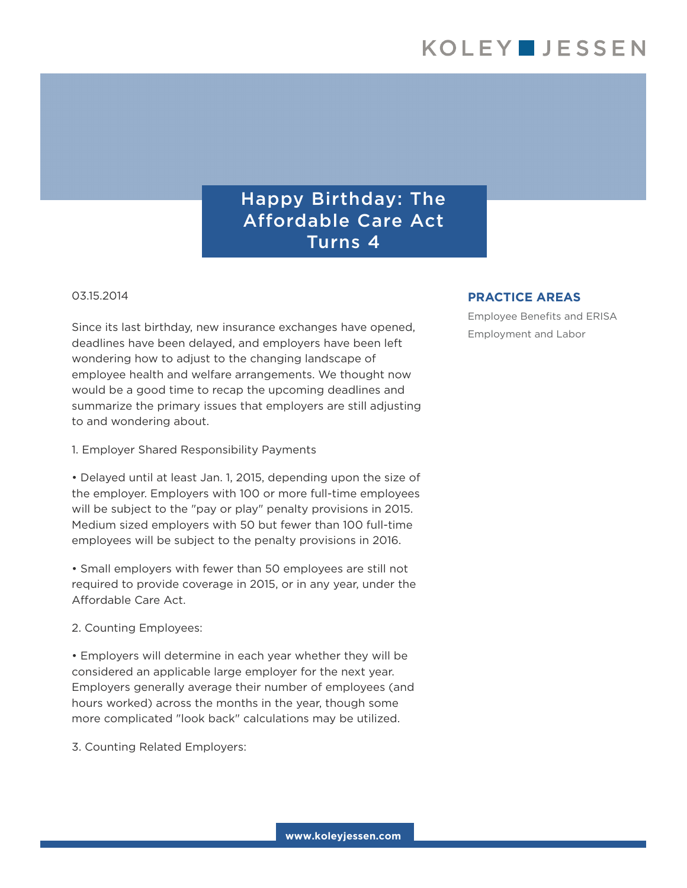## Happy Birthday: The Affordable Care Act Turns 4

## 03.15.2014

Since its last birthday, new insurance exchanges have opened, deadlines have been delayed, and employers have been left wondering how to adjust to the changing landscape of employee health and welfare arrangements. We thought now would be a good time to recap the upcoming deadlines and summarize the primary issues that employers are still adjusting to and wondering about.

1. Employer Shared Responsibility Payments

• Delayed until at least Jan. 1, 2015, depending upon the size of the employer. Employers with 100 or more full-time employees will be subject to the "pay or play" penalty provisions in 2015. Medium sized employers with 50 but fewer than 100 full-time employees will be subject to the penalty provisions in 2016.

• Small employers with fewer than 50 employees are still not required to provide coverage in 2015, or in any year, under the Affordable Care Act.

2. Counting Employees:

• Employers will determine in each year whether they will be considered an applicable large employer for the next year. Employers generally average their number of employees (and hours worked) across the months in the year, though some more complicated "look back" calculations may be utilized.

3. Counting Related Employers:

## **PRACTICE AREAS**

Employee Benefits and ERISA Employment and Labor